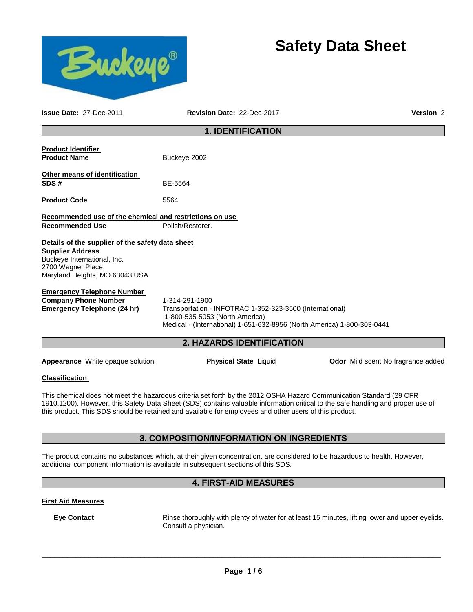# **Safety Data Sheet**



**Issue Date:** 27-Dec-2011 **Revision Date:** 22-Dec-2017 **Version** 2

### **1. IDENTIFICATION**

| <b>Product Identifier</b><br><b>Product Name</b>                                                                                                                  | Buckeye 2002                                                                                                                                                                                                                                                                                                                                                     |                                           |
|-------------------------------------------------------------------------------------------------------------------------------------------------------------------|------------------------------------------------------------------------------------------------------------------------------------------------------------------------------------------------------------------------------------------------------------------------------------------------------------------------------------------------------------------|-------------------------------------------|
| Other means of identification<br>SDS#                                                                                                                             | BE-5564                                                                                                                                                                                                                                                                                                                                                          |                                           |
| <b>Product Code</b>                                                                                                                                               | 5564                                                                                                                                                                                                                                                                                                                                                             |                                           |
| Recommended use of the chemical and restrictions on use<br><b>Recommended Use</b>                                                                                 | Polish/Restorer.                                                                                                                                                                                                                                                                                                                                                 |                                           |
| Details of the supplier of the safety data sheet<br><b>Supplier Address</b><br>Buckeye International, Inc.<br>2700 Wagner Place<br>Maryland Heights, MO 63043 USA |                                                                                                                                                                                                                                                                                                                                                                  |                                           |
| <b>Emergency Telephone Number</b><br><b>Company Phone Number</b><br><b>Emergency Telephone (24 hr)</b>                                                            | 1-314-291-1900<br>Transportation - INFOTRAC 1-352-323-3500 (International)<br>1-800-535-5053 (North America)<br>Medical - (International) 1-651-632-8956 (North America) 1-800-303-0441                                                                                                                                                                          |                                           |
|                                                                                                                                                                   | 2. HAZARDS IDENTIFICATION                                                                                                                                                                                                                                                                                                                                        |                                           |
| <b>Appearance</b> White opaque solution                                                                                                                           | <b>Physical State Liquid</b>                                                                                                                                                                                                                                                                                                                                     | <b>Odor</b> Mild scent No fragrance added |
| <b>Classification</b>                                                                                                                                             |                                                                                                                                                                                                                                                                                                                                                                  |                                           |
|                                                                                                                                                                   | This chemical does not meet the hazardous criteria set forth by the 2012 OSHA Hazard Communication Standard (29 CFR<br>1910.1200). However, this Safety Data Sheet (SDS) contains valuable information critical to the safe handling and proper use of<br>this product. This SDS should be retained and available for employees and other users of this product. |                                           |
|                                                                                                                                                                   | 3. COMPOSITION/INFORMATION ON INGREDIENTS                                                                                                                                                                                                                                                                                                                        |                                           |
|                                                                                                                                                                   | The product contains no substances which, at their given concentration, are considered to be hazardous to health. However,<br>additional component information is available in subsequent sections of this SDS.                                                                                                                                                  |                                           |

### **4. FIRST-AID MEASURES**

### **First Aid Measures**

**Eye Contact Rinse thoroughly with plenty of water for at least 15 minutes, lifting lower and upper eyelids.** Consult a physician.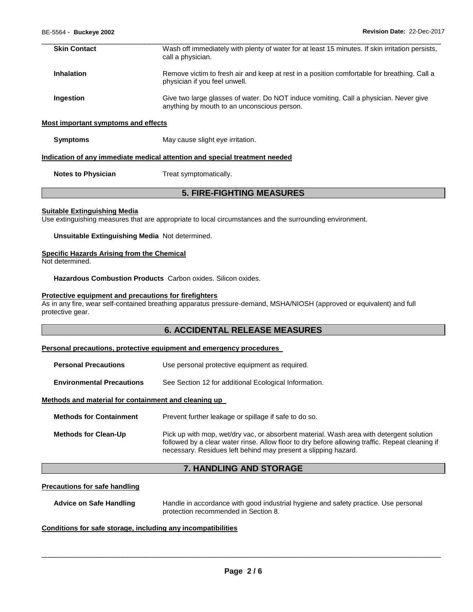| <b>Skin Contact</b> | Wash off immediately with plenty of water for at least 15 minutes. If skin irritation persists,<br>call a physician.                 |
|---------------------|--------------------------------------------------------------------------------------------------------------------------------------|
| <b>Inhalation</b>   | Remove victim to fresh air and keep at rest in a position comfortable for breathing. Call a<br>physician if you feel unwell.         |
| Ingestion           | Give two large glasses of water. Do NOT induce vomiting. Call a physician. Never give<br>anything by mouth to an unconscious person. |

#### **Most important symptoms and effects**

**Symptoms May cause slight eye irritation.** 

#### **Indication of any immediate medical attention and special treatment needed**

**Notes to Physician Treat symptomatically.** 

### **5. FIRE-FIGHTING MEASURES**

#### **Suitable Extinguishing Media**

Use extinguishing measures that are appropriate to local circumstances and the surrounding environment.

**Unsuitable Extinguishing Media** Not determined.

#### **Specific Hazards Arising from the Chemical**

Not determined.

**Hazardous Combustion Products** Carbon oxides. Silicon oxides.

#### **Protective equipment and precautions for firefighters**

As in any fire, wear self-contained breathing apparatus pressure-demand, MSHA/NIOSH (approved or equivalent) and full protective gear.

### **6. ACCIDENTAL RELEASE MEASURES**

### **Personal precautions, protective equipment and emergency procedures**

| <b>Personal Precautions</b> | Use personal protective equipment as required. |
|-----------------------------|------------------------------------------------|
|                             |                                                |

**Environmental Precautions** See Section 12 for additional Ecological Information.

#### **Methods and material for containment and cleaning up**

| <b>Methods for Containment</b> | Prevent further leakage or spillage if safe to do so.                                                                                                                                                                                                        |
|--------------------------------|--------------------------------------------------------------------------------------------------------------------------------------------------------------------------------------------------------------------------------------------------------------|
| <b>Methods for Clean-Up</b>    | Pick up with mop, wet/dry vac, or absorbent material. Wash area with detergent solution<br>followed by a clear water rinse. Allow floor to dry before allowing traffic. Repeat cleaning if<br>necessary. Residues left behind may present a slipping hazard. |

### **7. HANDLING AND STORAGE**

#### **Precautions for safe handling**

| <b>Advice on Safe Handling</b> | Handle in accordance with good industrial hygiene and safety practice. Use personal |
|--------------------------------|-------------------------------------------------------------------------------------|
|                                | protection recommended in Section 8.                                                |

#### **Conditions for safe storage, including any incompatibilities**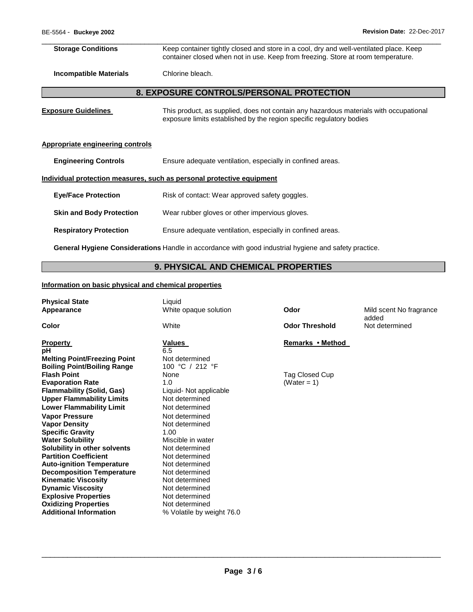| <b>Storage Conditions</b>        | Keep container tightly closed and store in a cool, dry and well-ventilated place. Keep<br>container closed when not in use. Keep from freezing. Store at room temperature. |  |  |  |  |
|----------------------------------|----------------------------------------------------------------------------------------------------------------------------------------------------------------------------|--|--|--|--|
| <b>Incompatible Materials</b>    | Chlorine bleach.                                                                                                                                                           |  |  |  |  |
|                                  | <b>8. EXPOSURE CONTROLS/PERSONAL PROTECTION</b>                                                                                                                            |  |  |  |  |
| <b>Exposure Guidelines</b>       | This product, as supplied, does not contain any hazardous materials with occupational<br>exposure limits established by the region specific regulatory bodies              |  |  |  |  |
| Appropriate engineering controls |                                                                                                                                                                            |  |  |  |  |
| <b>Engineering Controls</b>      | Ensure adequate ventilation, especially in confined areas.                                                                                                                 |  |  |  |  |
|                                  | Individual protection measures, such as personal protective equipment                                                                                                      |  |  |  |  |
| <b>Eye/Face Protection</b>       | Risk of contact: Wear approved safety goggles.                                                                                                                             |  |  |  |  |
| <b>Skin and Body Protection</b>  | Wear rubber gloves or other impervious gloves.                                                                                                                             |  |  |  |  |
| <b>Respiratory Protection</b>    | Ensure adequate ventilation, especially in confined areas.                                                                                                                 |  |  |  |  |
|                                  |                                                                                                                                                                            |  |  |  |  |

**General Hygiene Considerations** Handle in accordance with good industrial hygiene and safety practice.

## **9. PHYSICAL AND CHEMICAL PROPERTIES**

### **Information on basic physical and chemical properties**

| <b>Physical State</b><br>Appearance                                                                                                                                                                                                                                                                                                                                                                                                                                                              | Liquid<br>White opaque solution                                                                                                                                                                                                                                          | Odor                             | Mild scent No fragrance<br>added |
|--------------------------------------------------------------------------------------------------------------------------------------------------------------------------------------------------------------------------------------------------------------------------------------------------------------------------------------------------------------------------------------------------------------------------------------------------------------------------------------------------|--------------------------------------------------------------------------------------------------------------------------------------------------------------------------------------------------------------------------------------------------------------------------|----------------------------------|----------------------------------|
| Color                                                                                                                                                                                                                                                                                                                                                                                                                                                                                            | White                                                                                                                                                                                                                                                                    | <b>Odor Threshold</b>            | Not determined                   |
| <b>Property</b><br>рH<br><b>Melting Point/Freezing Point</b><br><b>Boiling Point/Boiling Range</b>                                                                                                                                                                                                                                                                                                                                                                                               | <b>Values</b><br>6.5<br>Not determined<br>100 °C / 212 °F                                                                                                                                                                                                                | Remarks • Method                 |                                  |
| <b>Flash Point</b><br><b>Evaporation Rate</b><br><b>Flammability (Solid, Gas)</b><br><b>Upper Flammability Limits</b><br><b>Lower Flammability Limit</b><br><b>Vapor Pressure</b><br><b>Vapor Density</b><br><b>Specific Gravity</b><br><b>Water Solubility</b><br>Solubility in other solvents<br><b>Partition Coefficient</b><br><b>Auto-ignition Temperature</b><br><b>Decomposition Temperature</b><br><b>Kinematic Viscosity</b><br><b>Dynamic Viscosity</b><br><b>Explosive Properties</b> | None<br>1.0<br>Liquid- Not applicable<br>Not determined<br>Not determined<br>Not determined<br>Not determined<br>1.00<br>Miscible in water<br>Not determined<br>Not determined<br>Not determined<br>Not determined<br>Not determined<br>Not determined<br>Not determined | Tag Closed Cup<br>(Water = $1$ ) |                                  |
| <b>Oxidizing Properties</b><br><b>Additional Information</b>                                                                                                                                                                                                                                                                                                                                                                                                                                     | Not determined<br>% Volatile by weight 76.0                                                                                                                                                                                                                              |                                  |                                  |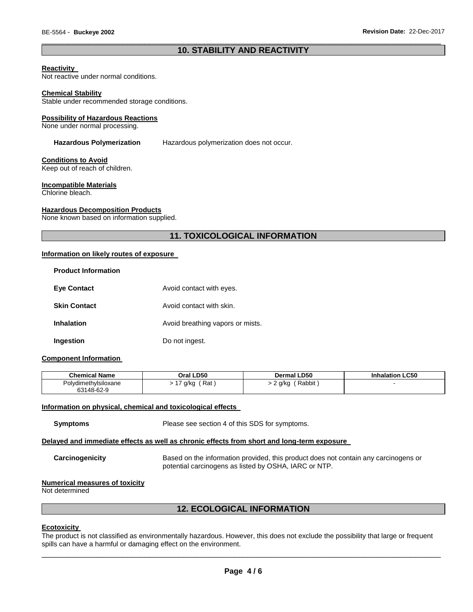### \_\_\_\_\_\_\_\_\_\_\_\_\_\_\_\_\_\_\_\_\_\_\_\_\_\_\_\_\_\_\_\_\_\_\_\_\_\_\_\_\_\_\_\_\_\_\_\_\_\_\_\_\_\_\_\_\_\_\_\_\_\_\_\_\_\_\_\_\_\_\_\_\_\_\_\_\_\_\_\_\_\_\_\_\_\_\_\_\_\_\_\_\_ **10. STABILITY AND REACTIVITY**

#### **Reactivity**

Not reactive under normal conditions.

#### **Chemical Stability**

Stable under recommended storage conditions.

#### **Possibility of Hazardous Reactions**

None under normal processing.

**Hazardous Polymerization** Hazardous polymerization does not occur.

#### **Conditions to Avoid**

Keep out of reach of children.

#### **Incompatible Materials**

Chlorine bleach.

#### **Hazardous Decomposition Products**

None known based on information supplied.

### **11. TOXICOLOGICAL INFORMATION**

#### **Information on likely routes of exposure**

| <b>Product Information</b> |                                  |
|----------------------------|----------------------------------|
| <b>Eye Contact</b>         | Avoid contact with eyes.         |
| <b>Skin Contact</b>        | Avoid contact with skin.         |
| <b>Inhalation</b>          | Avoid breathing vapors or mists. |
| Ingestion                  | Do not ingest.                   |

#### **Component Information**

| <b>Chemical Name</b> | Oral LD50   | <b>Dermal LD50</b> | nhalation LC50 |
|----------------------|-------------|--------------------|----------------|
| Polydimethylsiloxane | Rat<br>g/kg | Rabbit<br>∍ q/kq   |                |
| 63148-62-9           |             |                    |                |

#### **Information on physical, chemical and toxicological effects**

| Please see section 4 of this SDS for symptoms. |
|------------------------------------------------|
|                                                |

#### **Delayed and immediate effects as well as chronic effects from short and long-term exposure**

**Carcinogenicity** Based on the information provided, this product does not contain any carcinogens or potential carcinogens as listed by OSHA, IARC or NTP.

#### **Numerical measures of toxicity**

Not determined

#### **12. ECOLOGICAL INFORMATION**

#### **Ecotoxicity**

The product is not classified as environmentally hazardous. However, this does not exclude the possibility that large or frequent spills can have a harmful or damaging effect on the environment.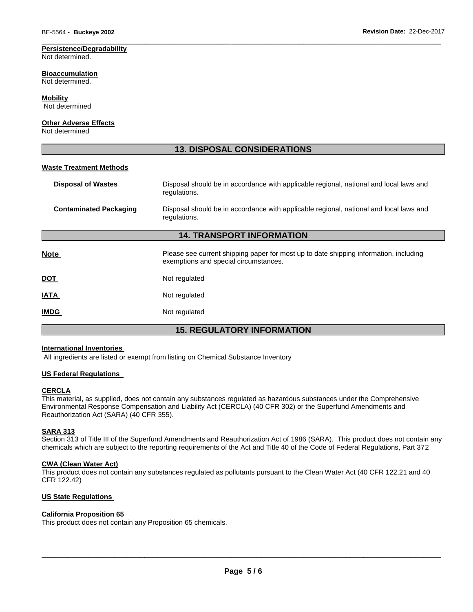### **Persistence/Degradability**

Not determined.

#### **Bioaccumulation**

Not determined.

#### **Mobility**

Not determined

### **Other Adverse Effects**

Not determined

### **13. DISPOSAL CONSIDERATIONS**

\_\_\_\_\_\_\_\_\_\_\_\_\_\_\_\_\_\_\_\_\_\_\_\_\_\_\_\_\_\_\_\_\_\_\_\_\_\_\_\_\_\_\_\_\_\_\_\_\_\_\_\_\_\_\_\_\_\_\_\_\_\_\_\_\_\_\_\_\_\_\_\_\_\_\_\_\_\_\_\_\_\_\_\_\_\_\_\_\_\_\_\_\_

#### **Waste Treatment Methods**

| <b>Disposal of Wastes</b>         | Disposal should be in accordance with applicable regional, national and local laws and<br>regulations.                         |  |  |  |
|-----------------------------------|--------------------------------------------------------------------------------------------------------------------------------|--|--|--|
| <b>Contaminated Packaging</b>     | Disposal should be in accordance with applicable regional, national and local laws and<br>regulations.                         |  |  |  |
| <b>14. TRANSPORT INFORMATION</b>  |                                                                                                                                |  |  |  |
| <b>Note</b>                       | Please see current shipping paper for most up to date shipping information, including<br>exemptions and special circumstances. |  |  |  |
| <u>DOT</u>                        | Not regulated                                                                                                                  |  |  |  |
| <u>IATA</u>                       | Not regulated                                                                                                                  |  |  |  |
| <b>IMDG</b>                       | Not regulated                                                                                                                  |  |  |  |
| <b>15. REGULATORY INFORMATION</b> |                                                                                                                                |  |  |  |

#### **International Inventories**

All ingredients are listed or exempt from listing on Chemical Substance Inventory

### **US Federal Regulations**

#### **CERCLA**

This material, as supplied, does not contain any substances regulated as hazardous substances under the Comprehensive Environmental Response Compensation and Liability Act (CERCLA) (40 CFR 302) or the Superfund Amendments and Reauthorization Act (SARA) (40 CFR 355).

#### **SARA 313**

Section 313 of Title III of the Superfund Amendments and Reauthorization Act of 1986 (SARA). This product does not contain any chemicals which are subject to the reporting requirements of the Act and Title 40 of the Code of Federal Regulations, Part 372

#### **CWA (Clean Water Act)**

This product does not contain any substances regulated as pollutants pursuant to the Clean Water Act (40 CFR 122.21 and 40 CFR 122.42)

### **US State Regulations**

### **California Proposition 65**

This product does not contain any Proposition 65 chemicals.